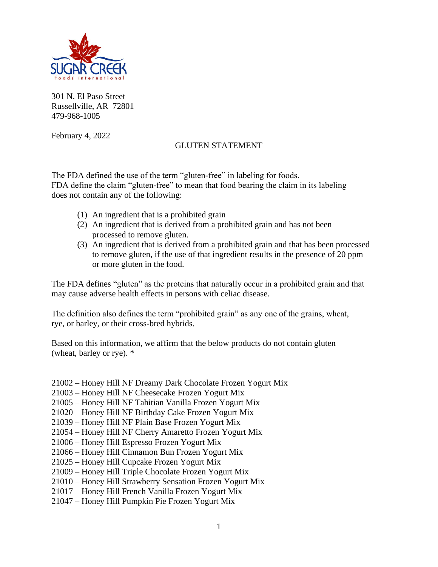

301 N. El Paso Street Russellville, AR 72801 479-968-1005

February 4, 2022

## GLUTEN STATEMENT

The FDA defined the use of the term "gluten-free" in labeling for foods. FDA define the claim "gluten-free" to mean that food bearing the claim in its labeling does not contain any of the following:

- (1) An ingredient that is a prohibited grain
- (2) An ingredient that is derived from a prohibited grain and has not been processed to remove gluten.
- (3) An ingredient that is derived from a prohibited grain and that has been processed to remove gluten, if the use of that ingredient results in the presence of 20 ppm or more gluten in the food.

The FDA defines "gluten" as the proteins that naturally occur in a prohibited grain and that may cause adverse health effects in persons with celiac disease.

The definition also defines the term "prohibited grain" as any one of the grains, wheat, rye, or barley, or their cross-bred hybrids.

Based on this information, we affirm that the below products do not contain gluten (wheat, barley or rye). \*

- 21002 Honey Hill NF Dreamy Dark Chocolate Frozen Yogurt Mix
- 21003 Honey Hill NF Cheesecake Frozen Yogurt Mix
- 21005 Honey Hill NF Tahitian Vanilla Frozen Yogurt Mix
- 21020 Honey Hill NF Birthday Cake Frozen Yogurt Mix
- 21039 Honey Hill NF Plain Base Frozen Yogurt Mix
- 21054 Honey Hill NF Cherry Amaretto Frozen Yogurt Mix
- 21006 Honey Hill Espresso Frozen Yogurt Mix
- 21066 Honey Hill Cinnamon Bun Frozen Yogurt Mix
- 21025 Honey Hill Cupcake Frozen Yogurt Mix
- 21009 Honey Hill Triple Chocolate Frozen Yogurt Mix
- 21010 Honey Hill Strawberry Sensation Frozen Yogurt Mix
- 21017 Honey Hill French Vanilla Frozen Yogurt Mix
- 21047 Honey Hill Pumpkin Pie Frozen Yogurt Mix